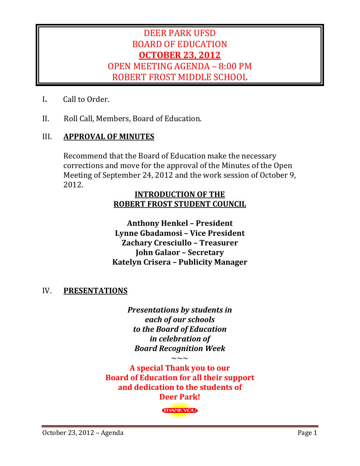## DEER PARK UFSD BOARD OF EDUCATION **OCTOBER 23, 2012** OPEN MEETING AGENDA – 8:00 PM ROBERT FROST MIDDLE SCHOOL

- **I.** Call to Order.
- II. Roll Call, Members, Board of Education.

#### III. **APPROVAL OF MINUTES**

Recommend that the Board of Education make the necessary corrections and move for the approval of the Minutes of the Open Meeting of September 24, 2012 and the work session of October 9, 2012. 

#### **INTRODUCTION OF THE ROBERT FROST STUDENT COUNCIL**

**Anthony Henkel – President Lynne Gbadamosi – Vice President Zachary Cresciullo – Treasurer John Galaor – Secretary Katelyn Crisera – Publicity Manager**

#### IV. **PRESENTATIONS**

*Presentations* by *students* in *each of our schools to the Board of Education in celebration of Board Recognition Week*

 $\sim$ 

**A special Thank you to our Board of Education for all their support and dedication to the students of Deer Park!**

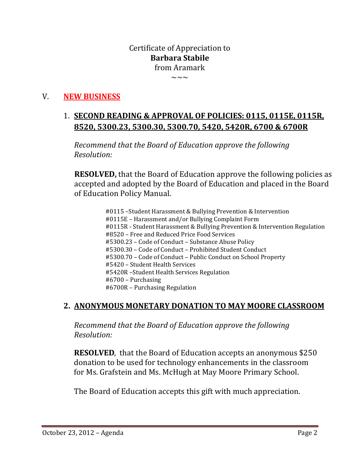## Certificate of Appreciation to **Barbara Stabile**  from Aramark

 $\sim\sim\sim$ 

## V. **NEW BUSINESS**

## 1. **SECOND READING & APPROVAL OF POLICIES: 0115, 0115E, 0115R, 8520, 5300.23, 5300.30, 5300.70, 5420, 5420R, 6700 & 6700R**

*Recommend that the Board of Education approve the following Resolution:*

**RESOLVED,** that the Board of Education approve the following policies as accepted and adopted by the Board of Education and placed in the Board of Education Policy Manual.

> #0115 -Student Harassment & Bullying Prevention & Intervention #0115E - Harassment and/or Bullying Complaint Form #0115R - Student Harassment & Bullying Prevention & Intervention Regulation #8520 – Free and Reduced Price Food Services #5300.23 - Code of Conduct - Substance Abuse Policy #5300.30 - Code of Conduct - Prohibited Student Conduct #5300.70 - Code of Conduct - Public Conduct on School Property #5420 - Student Health Services #5420R –Student Health Services Regulation  $#6700$  – Purchasing #6700R – Purchasing Regulation

#### **2. ANONYMOUS MONETARY DONATION TO MAY MOORE CLASSROOM**

*Recommend that the Board of Education approve the following Resolution:*

**RESOLVED.** that the Board of Education accepts an anonymous \$250 donation to be used for technology enhancements in the classroom for Ms. Grafstein and Ms. McHugh at May Moore Primary School.

The Board of Education accepts this gift with much appreciation.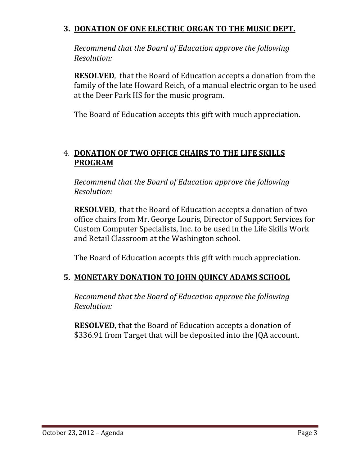## **3. DONATION OF ONE ELECTRIC ORGAN TO THE MUSIC DEPT.**

*Recommend that the Board of Education approve the following Resolution:*

**RESOLVED**, that the Board of Education accepts a donation from the family of the late Howard Reich, of a manual electric organ to be used at the Deer Park HS for the music program.

The Board of Education accepts this gift with much appreciation.

## 4. **DONATION OF TWO OFFICE CHAIRS TO THE LIFE SKILLS PROGRAM**

*Recommend that the Board of Education approve the following Resolution:*

**RESOLVED**, that the Board of Education accepts a donation of two office chairs from Mr. George Louris, Director of Support Services for Custom Computer Specialists, Inc. to be used in the Life Skills Work and Retail Classroom at the Washington school.

The Board of Education accepts this gift with much appreciation.

## **5. MONETARY DONATION TO JOHN QUINCY ADAMS SCHOOL**

*Recommend that the Board of Education approve the following Resolution:*

**RESOLVED**, that the Board of Education accepts a donation of \$336.91 from Target that will be deposited into the JQA account.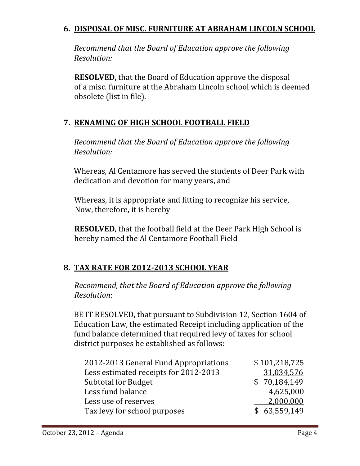## **6. DISPOSAL OF MISC. FURNITURE AT ABRAHAM LINCOLN SCHOOL**

*Recommend that the Board of Education approve the following Resolution:*

**RESOLVED,** that the Board of Education approve the disposal of a misc, furniture at the Abraham Lincoln school which is deemed obsolete (list in file).

## **7. RENAMING OF HIGH SCHOOL FOOTBALL FIELD**

*Recommend that the Board of Education approve the following Resolution:*

Whereas, Al Centamore has served the students of Deer Park with dedication and devotion for many years, and

Whereas, it is appropriate and fitting to recognize his service, Now, therefore, it is hereby

**RESOLVED**, that the football field at the Deer Park High School is hereby named the Al Centamore Football Field

## **8. TAX RATE FOR 2012‐2013 SCHOOL YEAR**

*Recommend, that the Board of Education approve the following Resolution*: 

BE IT RESOLVED, that pursuant to Subdivision 12, Section 1604 of Education Law, the estimated Receipt including application of the fund balance determined that required levy of taxes for school district purposes be established as follows:

| 2012-2013 General Fund Appropriations | \$101,218,725 |
|---------------------------------------|---------------|
| Less estimated receipts for 2012-2013 | 31,034,576    |
| <b>Subtotal for Budget</b>            | \$70,184,149  |
| Less fund balance                     | 4,625,000     |
| Less use of reserves                  | 2,000,000     |
| Tax levy for school purposes          | \$63,559,149  |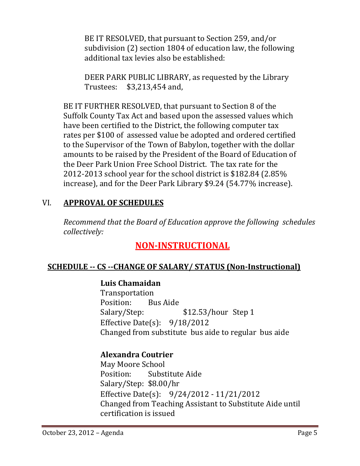BE IT RESOLVED, that pursuant to Section 259, and/or subdivision  $(2)$  section 1804 of education law, the following additional tax levies also be established:

DEER PARK PUBLIC LIBRARY, as requested by the Library Trustees:  $$3,213,454$  and,

BE IT FURTHER RESOLVED, that pursuant to Section 8 of the Suffolk County Tax Act and based upon the assessed values which have been certified to the District, the following computer tax rates per \$100 of assessed value be adopted and ordered certified to the Supervisor of the Town of Babylon, together with the dollar amounts to be raised by the President of the Board of Education of the Deer Park Union Free School District. The tax rate for the 2012-2013 school year for the school district is  $$182.84$  (2.85%) increase), and for the Deer Park Library \$9.24 (54.77% increase).

## VI. **APPROVAL OF SCHEDULES**

*Recommend that the Board of Education approve the following schedules collectively:*

## **NON‐INSTRUCTIONAL**

## **SCHEDULE ‐‐ CS ‐‐CHANGE OF SALARY/ STATUS (Non‐Instructional)**

## **Luis Chamaidan**

 Transportation Position: Bus Aide Salary/Step: \$12.53/hour Step 1 Effective Date(s):  $9/18/2012$ Changed from substitute bus aide to regular bus aide

## **Alexandra Coutrier**

May Moore School Position: Substitute Aide Salary/Step: \$8.00/hr Effective Date(s):  $9/24/2012 - 11/21/2012$ Changed from Teaching Assistant to Substitute Aide until certification is issued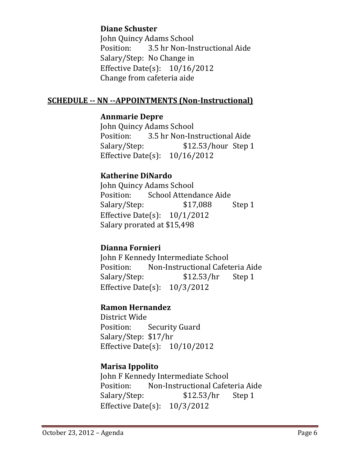## **Diane Schuster**

John Quincy Adams School Position: 3.5 hr Non-Instructional Aide Salary/Step: No Change in Effective Date(s):  $10/16/2012$ Change from cafeteria aide

#### **SCHEDULE ‐‐ NN ‐‐APPOINTMENTS (Non‐Instructional)**

#### **Annmarie Depre**

John Quincy Adams School Position: 3.5 hr Non-Instructional Aide Salary/Step: \$12.53/hour Step 1 Effective Date(s):  $10/16/2012$ 

#### **Katherine DiNardo**

John Quincy Adams School Position: School Attendance Aide Salary/Step:  $$17,088$  Step 1 Effective Date(s):  $10/1/2012$ Salary prorated at \$15,498

#### **Dianna Fornieri**

John F Kennedy Intermediate School Position: Non-Instructional Cafeteria Aide Salary/Step:  $$12.53/hr$  Step 1 Effective Date(s):  $10/3/2012$ 

#### **Ramon Hernandez**

District Wide Position: Security Guard Salary/Step: \$17/hr Effective Date(s):  $10/10/2012$ 

#### **Marisa Ippolito**

John F Kennedy Intermediate School Position: Non-Instructional Cafeteria Aide Salary/Step:  $$12.53/hr$  Step 1 Effective Date(s):  $10/3/2012$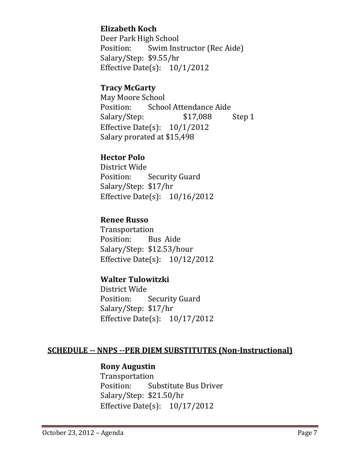## **Elizabeth Koch**

Deer Park High School Position: Swim Instructor (Rec Aide) Salary/Step: \$9.55/hr Effective Date(s):  $10/1/2012$ 

#### **Tracy McGarty**

May Moore School Position: School Attendance Aide Salary/Step:  $$17,088$  Step 1 Effective Date(s):  $10/1/2012$ Salary prorated at \$15,498

## **Hector Polo**

District Wide Position: Security Guard Salary/Step: \$17/hr Effective Date(s):  $10/16/2012$ 

#### **Renee Russo**

 Transportation Position: Bus Aide Salary/Step: \$12.53/hour Effective Date(s):  $10/12/2012$ 

## **Walter Tulowitzki**

District Wide Position: Security Guard Salary/Step: \$17/hr Effective Date(s):  $10/17/2012$ 

#### **SCHEDULE ‐‐ NNPS ‐‐PER DIEM SUBSTITUTES (Non‐Instructional)**

#### **Rony Augustin**

 Transportation Position: Substitute Bus Driver Salary/Step: \$21.50/hr Effective Date $(s)$ : 10/17/2012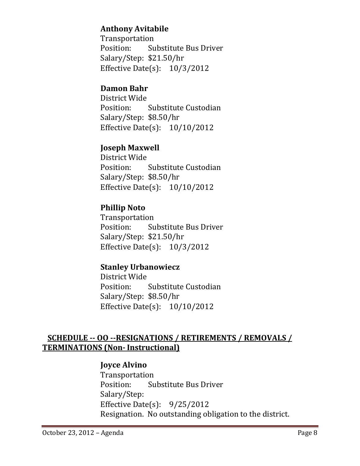## **Anthony Avitabile**

 Transportation Position: Substitute Bus Driver Salary/Step: \$21.50/hr Effective Date(s):  $10/3/2012$ 

## **Damon Bahr**

District Wide Position: Substitute Custodian Salary/Step: \$8.50/hr Effective Date(s):  $10/10/2012$ 

## **Joseph Maxwell**

District Wide Position: Substitute Custodian Salary/Step: \$8.50/hr Effective Date(s):  $10/10/2012$ 

## **Phillip Noto**

 Transportation Position: Substitute Bus Driver Salary/Step: \$21.50/hr Effective Date $(s)$ : 10/3/2012

## **Stanley Urbanowiecz**

District Wide Position: Substitute Custodian Salary/Step: \$8.50/hr Effective Date $(s)$ : 10/10/2012

## **SCHEDULE ‐‐ OO ‐‐RESIGNATIONS / RETIREMENTS / REMOVALS / TERMINATIONS (Non‐ Instructional)**

#### **Joyce Alvino**

 Transportation Position: Substitute Bus Driver Salary/Step: Effective Date(s):  $9/25/2012$ Resignation. No outstanding obligation to the district.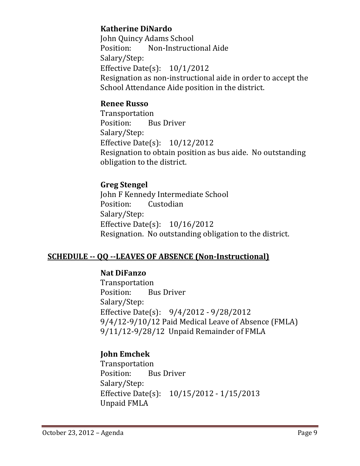## **Katherine DiNardo**

John Quincy Adams School Position: Non-Instructional Aide Salary/Step: Effective Date(s):  $10/1/2012$ Resignation as non-instructional aide in order to accept the School Attendance Aide position in the district.

#### **Renee Russo**

 Transportation Position: Bus Driver Salary/Step: Effective Date $(s)$ : 10/12/2012 Resignation to obtain position as bus aide. No outstanding obligation to the district.

## **Greg Stengel**

**John F Kennedy Intermediate School** Position: Custodian Salary/Step: Effective Date(s):  $10/16/2012$ Resignation. No outstanding obligation to the district.

## **SCHEDULE ‐‐ QQ ‐‐LEAVES OF ABSENCE (Non‐Instructional)**

#### **Nat DiFanzo**

 Transportation Position: Bus Driver Salary/Step: Effective Date(s):  $9/4/2012 - 9/28/2012$  $9/4/12-9/10/12$  Paid Medical Leave of Absence (FMLA) 9/11/12-9/28/12 Unpaid Remainder of FMLA

## **John Emchek**

 Transportation Position: Bus Driver Salary/Step: Effective Date(s):  $10/15/2012 - 1/15/2013$ Unpaid FMLA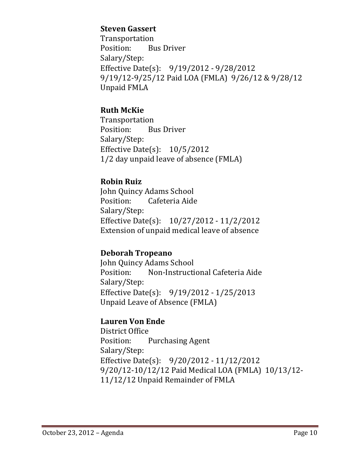#### **Steven Gassert**

 Transportation Position: Bus Driver Salary/Step: Effective Date(s):  $9/19/2012 - 9/28/2012$ 9/19/12-9/25/12 Paid LOA (FMLA) 9/26/12 & 9/28/12 Unpaid FMLA

## **Ruth McKie**

 Transportation Position: Bus Driver Salary/Step: Effective Date(s):  $10/5/2012$ 1/2 day unpaid leave of absence (FMLA)

## **Robin Ruiz**

John Quincy Adams School Position: Cafeteria Aide Salary/Step: Effective Date(s):  $10/27/2012 - 11/2/2012$ Extension of unpaid medical leave of absence

## **Deborah Tropeano**

John Quincy Adams School Position: Non-Instructional Cafeteria Aide Salary/Step: Effective Date(s):  $9/19/2012 - 1/25/2013$ Unpaid Leave of Absence (FMLA)

## **Lauren Von Ende**

District Office Position: Purchasing Agent Salary/Step: Effective Date(s):  $9/20/2012 - 11/12/2012$ 9/20/12-10/12/12 Paid Medical LOA (FMLA) 10/13/12-11/12/12 Unpaid Remainder of FMLA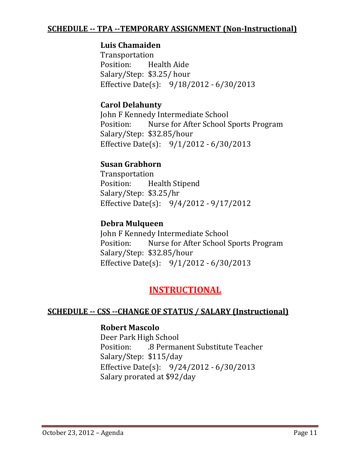#### **SCHEDULE ‐‐ TPA ‐‐TEMPORARY ASSIGNMENT (Non‐Instructional)**

#### **Luis Chamaiden**

 Transportation Position: Health Aide Salary/Step: \$3.25/ hour Effective Date(s):  $9/18/2012 - 6/30/2013$ 

#### **Carol Delahunty**

John F Kennedy Intermediate School Position: Nurse for After School Sports Program Salary/Step: \$32.85/hour Effective Date(s):  $9/1/2012 - 6/30/2013$ 

#### **Susan Grabhorn**

 Transportation Position: Health Stipend Salary/Step: \$3.25/hr Effective Date(s):  $9/4/2012 - 9/17/2012$ 

#### **Debra Mulqueen**

John F Kennedy Intermediate School Position: Nurse for After School Sports Program Salary/Step: \$32.85/hour Effective Date(s):  $9/1/2012 - 6/30/2013$ 

## **INSTRUCTIONAL**

#### **SCHEDULE ‐‐ CSS ‐‐CHANGE OF STATUS / SALARY (Instructional)**

#### **Robert Mascolo**

Deer Park High School Position: .3 Permanent Substitute Teacher Salary/Step: \$115/day Effective Date(s):  $9/24/2012 - 6/30/2013$ Salary prorated at \$92/day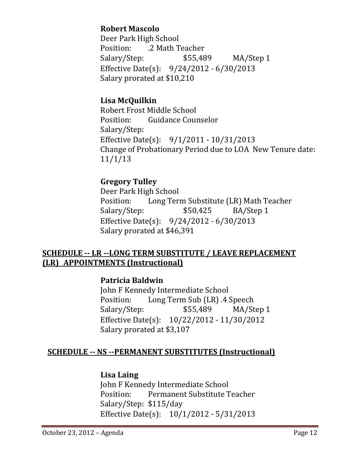## **Robert Mascolo**

Deer Park High School Position: 2 Math Teacher Salary/Step:  $$55,489$  MA/Step 1 Effective Date(s):  $9/24/2012 - 6/30/2013$ Salary prorated at \$10,210

#### **Lisa McQuilkin**

Robert Frost Middle School Position: Guidance Counselor Salary/Step: Effective Date(s):  $9/1/2011 - 10/31/2013$ Change of Probationary Period due to LOA New Tenure date: 11/1/13 

#### **Gregory Tulley**

Deer Park High School Position: Long Term Substitute (LR) Math Teacher Salary/Step:  $$50,425$  BA/Step 1 Effective Date(s):  $9/24/2012 - 6/30/2013$ Salary prorated at \$46,391

## **SCHEDULE** -- LR --LONG TERM SUBSTITUTE / LEAVE REPLACEMENT **(LR) APPOINTMENTS (Instructional)**

#### **Patricia Baldwin**

John F Kennedy Intermediate School Position: Long Term Sub (LR) 4 Speech Salary/Step:  $$55,489$  MA/Step 1 Effective Date(s): 10/22/2012 - 11/30/2012 Salary prorated at \$3,107

## **SCHEDULE ‐‐ NS ‐‐PERMANENT SUBSTITUTES (Instructional)**

#### **Lisa Laing**

John F Kennedy Intermediate School Position: Permanent Substitute Teacher Salary/Step: \$115/day Effective Date(s):  $10/1/2012 - 5/31/2013$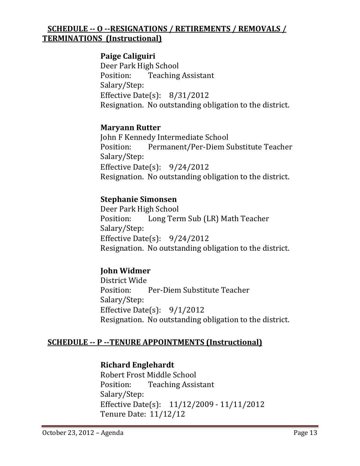## **SCHEDULE ‐‐ O ‐‐RESIGNATIONS / RETIREMENTS / REMOVALS / TERMINATIONS (Instructional)**

## **Paige Caliguiri**

Deer Park High School Position: Teaching Assistant Salary/Step: Effective Date(s):  $8/31/2012$ Resignation. No outstanding obligation to the district.

#### **Maryann Rutter**

John F Kennedy Intermediate School Position: Permanent/Per-Diem Substitute Teacher Salary/Step: Effective Date $(s)$ : 9/24/2012 Resignation. No outstanding obligation to the district.

## **Stephanie Simonsen**

Deer Park High School Position: Long Term Sub (LR) Math Teacher Salary/Step: Effective Date(s):  $9/24/2012$ Resignation. No outstanding obligation to the district.

## **John Widmer**

District Wide Position: Per‐Diem Substitute Teacher Salary/Step: Effective Date(s):  $9/1/2012$ Resignation. No outstanding obligation to the district.

## **SCHEDULE ‐‐ P ‐‐TENURE APPOINTMENTS (Instructional)**

## **Richard Englehardt**

Robert Frost Middle School Position: Teaching Assistant Salary/Step: Effective Date(s): 11/12/2009 - 11/11/2012 Tenure Date: 11/12/12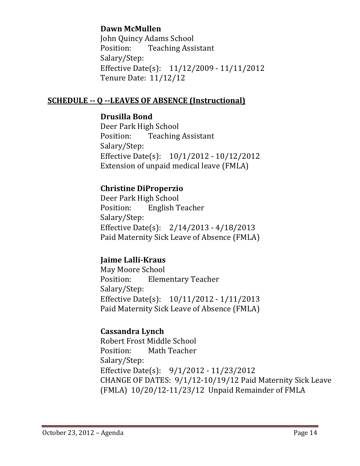## **Dawn McMullen**

John Quincy Adams School Position: Teaching Assistant Salary/Step: Effective Date(s): 11/12/2009 - 11/11/2012 Tenure Date: 11/12/12

#### **SCHEDULE ‐‐ Q ‐‐LEAVES OF ABSENCE (Instructional)**

#### **Drusilla Bond**

Deer Park High School Position: Teaching Assistant Salary/Step: Effective Date(s):  $10/1/2012 - 10/12/2012$ Extension of unpaid medical leave (FMLA)

## **Christine DiProperzio**

Deer Park High School Position: English Teacher Salary/Step: Effective Date(s):  $2/14/2013 - 4/18/2013$ Paid Maternity Sick Leave of Absence (FMLA)

## **Jaime Lalli‐Kraus**

May Moore School Position: Elementary Teacher Salary/Step: Effective Date(s):  $10/11/2012 - 1/11/2013$ Paid Maternity Sick Leave of Absence (FMLA)

## **Cassandra Lynch**

Robert Frost Middle School Position: Math Teacher Salary/Step: Effective Date(s):  $9/1/2012 - 11/23/2012$ CHANGE OF DATES:  $9/1/12$ -10/19/12 Paid Maternity Sick Leave (FMLA) 10/20/12-11/23/12 Unpaid Remainder of FMLA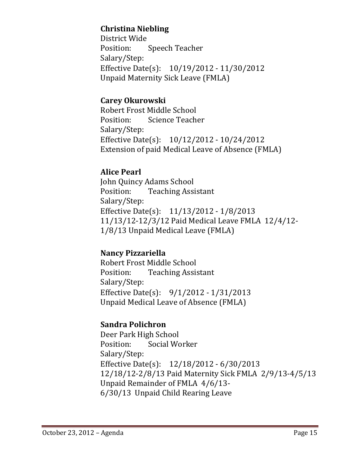## **Christina Niebling**

District Wide Position: Speech Teacher Salary/Step: Effective Date(s):  $10/19/2012 - 11/30/2012$ Unpaid Maternity Sick Leave (FMLA)

## **Carey Okurowski**

Robert Frost Middle School Position: Science Teacher Salary/Step: Effective Date(s):  $10/12/2012 - 10/24/2012$ Extension of paid Medical Leave of Absence (FMLA)

## **Alice Pearl**

John Quincy Adams School Position: Teaching Assistant Salary/Step: Effective Date(s):  $11/13/2012 - 1/8/2013$ 11/13/12-12/3/12 Paid Medical Leave FMLA 12/4/12-1/8/13 Unpaid Medical Leave (FMLA)

## **Nancy Pizzariella**

Robert Frost Middle School Position: Teaching Assistant Salary/Step: Effective Date(s):  $9/1/2012 - 1/31/2013$ Unpaid Medical Leave of Absence (FMLA)

## **Sandra Polichron**

Deer Park High School Position: Social Worker Salary/Step: Effective Date(s):  $12/18/2012 - 6/30/2013$ 12/18/12-2/8/13 Paid Maternity Sick FMLA 2/9/13-4/5/13 Unpaid Remainder of FMLA  $4/6/13$ - 6/30/13 Unpaid Child Rearing Leave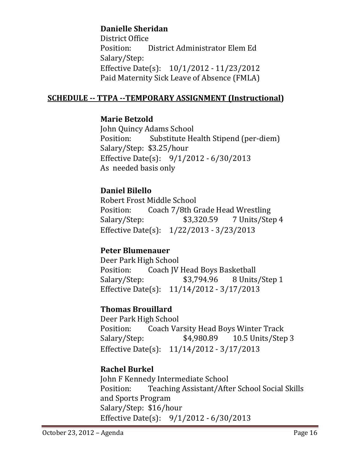## **Danielle Sheridan**

District Office Position: District Administrator Elem Ed Salary/Step: Effective Date(s):  $10/1/2012 - 11/23/2012$ Paid Maternity Sick Leave of Absence (FMLA)

## **SCHEDULE ‐‐ TTPA ‐‐TEMPORARY ASSIGNMENT (Instructional)**

## **Marie Betzold**

 John Quincy Adams School Position: Substitute Health Stipend (per-diem) Salary/Step: \$3.25/hour Effective Date(s):  $9/1/2012 - 6/30/2013$ As needed basis only

## **Daniel Bilello**

Robert Frost Middle School Position: Coach 7/8th Grade Head Wrestling Salary/Step: \$3,320.59 7 Units/Step 4 Effective Date(s):  $1/22/2013 - 3/23/2013$ 

## **Peter Blumenauer**

Deer Park High School Position: Coach JV Head Boys Basketball Salary/Step: \$3,794.96 8 Units/Step 1 Effective Date(s):  $11/14/2012 - 3/17/2013$ 

## **Thomas Brouillard**

Deer Park High School Position: Coach Varsity Head Boys Winter Track Salary/Step: \$4,980.89 10.5 Units/Step 3 Effective Date(s):  $11/14/2012 - 3/17/2013$ 

## **Rachel Burkel**

 John F Kennedy Intermediate School Position: Teaching Assistant/After School Social Skills and Sports Program Salary/Step: \$16/hour Effective Date(s):  $9/1/2012 - 6/30/2013$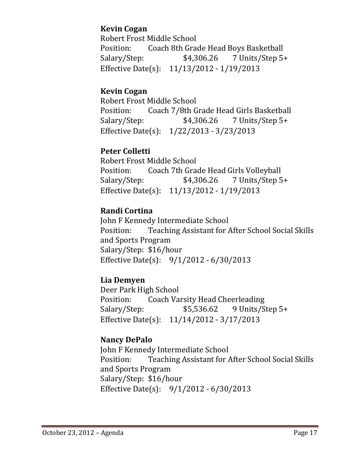## **Kevin Cogan**

Robert Frost Middle School Position: Coach 8th Grade Head Boys Basketball Salary/Step:  $$4,306.26$  7 Units/Step 5+ Effective Date(s): 11/13/2012 - 1/19/2013

## **Kevin Cogan**

Robert Frost Middle School Position: Coach 7/8th Grade Head Girls Basketball  $Salary/Step:$   $$4,306.26$   $7$  Units/Step 5+ Effective Date(s):  $1/22/2013 - 3/23/2013$ 

## **Peter Colletti**

Robert Frost Middle School Position: Coach 7th Grade Head Girls Volleyball Salary/Step:  $$4,306.26$  7 Units/Step 5+ Effective Date(s):  $11/13/2012 - 1/19/2013$ 

## **Randi Cortina**

John F Kennedy Intermediate School Position: Teaching Assistant for After School Social Skills and Sports Program Salary/Step: \$16/hour Effective Date(s):  $9/1/2012 - 6/30/2013$ 

## **Lia Demyen**

Deer Park High School Position: Coach Varsity Head Cheerleading Salary/Step: \$5,536.62 9 Units/Step 5+ Effective Date(s):  $11/14/2012 - 3/17/2013$ 

## **Nancy DePalo**

John F Kennedy Intermediate School Position: Teaching Assistant for After School Social Skills and Sports Program Salary/Step: \$16/hour Effective Date(s):  $9/1/2012 - 6/30/2013$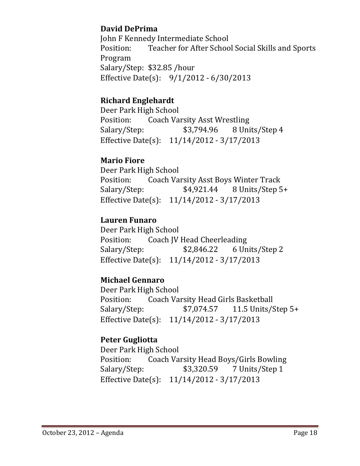## **David DePrima**

John F Kennedy Intermediate School Position: Teacher for After School Social Skills and Sports Program Salary/Step: \$32.85 /hour Effective Date(s):  $9/1/2012 - 6/30/2013$ 

## **Richard Englehardt**

Deer Park High School Position: Coach Varsity Asst Wrestling Salary/Step:  $$3,794.96$  8 Units/Step 4 Effective Date(s):  $11/14/2012 - 3/17/2013$ 

## **Mario Fiore**

Deer Park High School Position: Coach Varsity Asst Boys Winter Track Salary/Step:  $$4,921.44$  8 Units/Step 5+ Effective Date(s): 11/14/2012 - 3/17/2013

## **Lauren Funaro**

Deer Park High School Position: Coach JV Head Cheerleading Salary/Step:  $$2,846.22$  6 Units/Step 2 Effective Date(s):  $11/14/2012 - 3/17/2013$ 

## **Michael Gennaro**

Deer Park High School Position: Coach Varsity Head Girls Basketball Salary/Step: \$7,074.57 11.5 Units/Step 5+ Effective Date(s):  $11/14/2012 - 3/17/2013$ 

## **Peter Gugliotta**

Deer Park High School Position: Coach Varsity Head Boys/Girls Bowling Salary/Step: \$3,320.59 7 Units/Step 1 Effective Date(s):  $11/14/2012 - 3/17/2013$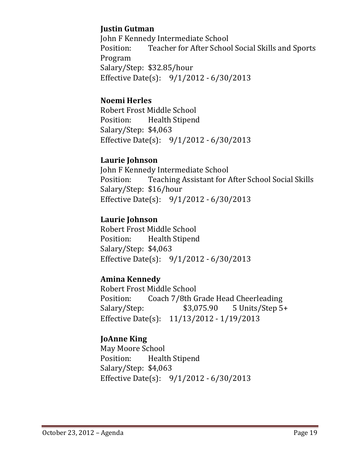## **Justin Gutman**

John F Kennedy Intermediate School Position: Teacher for After School Social Skills and Sports Program Salary/Step: \$32.85/hour Effective Date(s):  $9/1/2012 - 6/30/2013$ 

## **Noemi Herles**

Robert Frost Middle School Position: Health Stipend Salary/Step: \$4,063 Effective Date(s):  $9/1/2012 - 6/30/2013$ 

## **Laurie Johnson**

John F Kennedy Intermediate School Position: Teaching Assistant for After School Social Skills Salary/Step: \$16/hour Effective Date(s):  $9/1/2012 - 6/30/2013$ 

## **Laurie Johnson**

Robert Frost Middle School Position: Health Stipend Salary/Step: \$4,063 Effective Date(s):  $9/1/2012 - 6/30/2013$ 

## **Amina Kennedy**

Robert Frost Middle School Position: Coach 7/8th Grade Head Cheerleading Salary/Step:  $$3,075.90$  5 Units/Step 5+ Effective Date(s):  $11/13/2012 - 1/19/2013$ 

## **JoAnne King**

May Moore School Position: Health Stipend Salary/Step: \$4,063 Effective Date(s):  $9/1/2012 - 6/30/2013$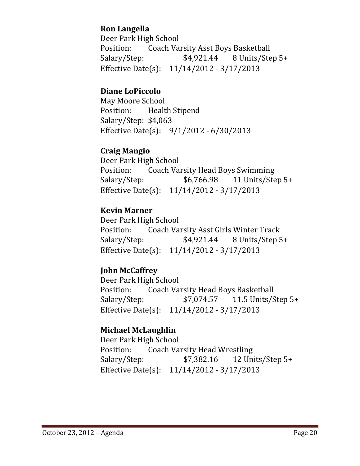## **Ron Langella**

Deer Park High School Position: Coach Varsity Asst Boys Basketball  $Salary/Step:$   $$4,921.44$   $8$  Units/Step 5+ Effective Date(s):  $11/14/2012 - 3/17/2013$ 

## **Diane LoPiccolo**

May Moore School Position: Health Stipend Salary/Step: \$4,063 Effective Date(s):  $9/1/2012 - 6/30/2013$ 

#### **Craig Mangio**

Deer Park High School Position: Coach Varsity Head Boys Swimming Salary/Step: \$6,766.98 11 Units/Step 5+ Effective Date(s):  $11/14/2012 - 3/17/2013$ 

## **Kevin Marner**

Deer Park High School Position: Coach Varsity Asst Girls Winter Track Salary/Step:  $$4,921.44$  8 Units/Step 5+ Effective Date(s):  $11/14/2012 - 3/17/2013$ 

## **John McCaffrey**

Deer Park High School Position: Coach Varsity Head Boys Basketball Salary/Step: \$7,074.57 11.5 Units/Step 5+ Effective Date(s): 11/14/2012 - 3/17/2013

## **Michael McLaughlin**

Deer Park High School Position: Coach Varsity Head Wrestling Salary/Step:  $$7,382.16$  12 Units/Step 5+ Effective Date(s):  $11/14/2012 - 3/17/2013$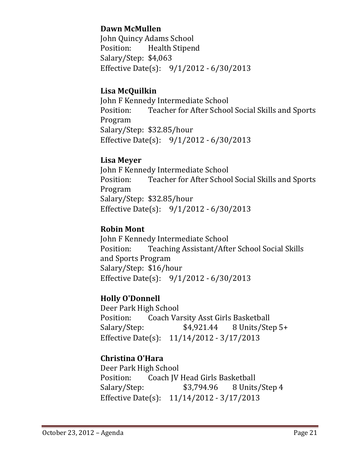## **Dawn McMullen**

John Quincy Adams School Position: Health Stipend Salary/Step: \$4,063 Effective Date(s):  $9/1/2012 - 6/30/2013$ 

#### **Lisa McQuilkin**

John F Kennedy Intermediate School Position: Teacher for After School Social Skills and Sports Program Salary/Step: \$32.85/hour Effective Date(s):  $9/1/2012 - 6/30/2013$ 

#### **Lisa Meyer**

John F Kennedy Intermediate School Position: Teacher for After School Social Skills and Sports Program Salary/Step: \$32.85/hour Effective Date(s):  $9/1/2012 - 6/30/2013$ 

#### **Robin Mont**

John F Kennedy Intermediate School Position: Teaching Assistant/After School Social Skills and Sports Program Salary/Step: \$16/hour Effective Date(s):  $9/1/2012 - 6/30/2013$ 

## **Holly O'Donnell**

Deer Park High School Position: Coach Varsity Asst Girls Basketball  $Salary/Step:$   $$4,921.44$   $8$  Units/Step 5+ Effective Date(s):  $11/14/2012 - 3/17/2013$ 

## **Christina O'Hara**

Deer Park High School Position: Coach JV Head Girls Basketball Salary/Step:  $$3,794.96$  8 Units/Step 4 Effective Date(s):  $11/14/2012 - 3/17/2013$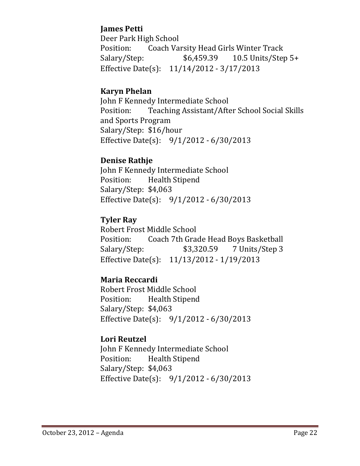## **James Petti**

Deer Park High School Position: Coach Varsity Head Girls Winter Track Salary/Step:  $$6,459.39$  10.5 Units/Step 5+ Effective Date(s):  $11/14/2012 - 3/17/2013$ 

## **Karyn Phelan**

John F Kennedy Intermediate School Position: Teaching Assistant/After School Social Skills and Sports Program Salary/Step: \$16/hour Effective Date(s):  $9/1/2012 - 6/30/2013$ 

## **Denise Rathje**

John F Kennedy Intermediate School Position: Health Stipend Salary/Step: \$4,063 Effective Date(s):  $9/1/2012 - 6/30/2013$ 

## **Tyler Ray**

Robert Frost Middle School Position: Coach 7th Grade Head Boys Basketball Salary/Step:  $$3,320.59$  7 Units/Step 3 Effective Date(s):  $11/13/2012 - 1/19/2013$ 

## **Maria Reccardi**

Robert Frost Middle School Position: Health Stipend Salary/Step: \$4,063 Effective Date(s):  $9/1/2012 - 6/30/2013$ 

## **Lori Reutzel**

John F Kennedy Intermediate School Position: Health Stipend Salary/Step: \$4,063 Effective Date(s):  $9/1/2012 - 6/30/2013$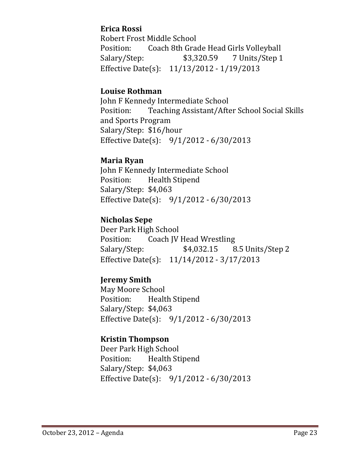## **Erica Rossi**

Robert Frost Middle School Position: Coach 8th Grade Head Girls Volleyball  $Salary/Step:$   $$3,320.59$  7 Units/Step 1 Effective Date(s): 11/13/2012 - 1/19/2013

#### **Louise Rothman**

John F Kennedy Intermediate School Position: Teaching Assistant/After School Social Skills and Sports Program Salary/Step: \$16/hour Effective Date(s):  $9/1/2012 - 6/30/2013$ 

#### **Maria Ryan**

John F Kennedy Intermediate School Position: Health Stipend Salary/Step: \$4,063 Effective Date(s):  $9/1/2012 - 6/30/2013$ 

#### **Nicholas Sepe**

Deer Park High School Position: Coach IV Head Wrestling Salary/Step:  $$4,032.15$  8.5 Units/Step 2 Effective Date(s):  $11/14/2012 - 3/17/2013$ 

## **Jeremy Smith**

May Moore School Position: Health Stipend Salary/Step: \$4,063 Effective Date(s):  $9/1/2012 - 6/30/2013$ 

#### **Kristin Thompson**

Deer Park High School Position: Health Stipend Salary/Step: \$4,063 Effective Date(s):  $9/1/2012 - 6/30/2013$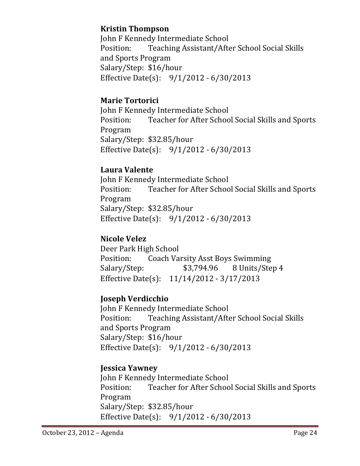## **Kristin Thompson**

John F Kennedy Intermediate School Position: Teaching Assistant/After School Social Skills and Sports Program Salary/Step: \$16/hour Effective Date(s):  $9/1/2012 - 6/30/2013$ 

## **Marie Tortorici**

John F Kennedy Intermediate School Position: Teacher for After School Social Skills and Sports Program Salary/Step: \$32.85/hour Effective Date(s):  $9/1/2012 - 6/30/2013$ 

## **Laura Valente**

John F Kennedy Intermediate School Position: Teacher for After School Social Skills and Sports Program Salary/Step: \$32.85/hour Effective Date(s):  $9/1/2012 - 6/30/2013$ 

## **Nicole Velez**

Deer Park High School Position: Coach Varsity Asst Boys Swimming Salary/Step:  $$3,794.96$  8 Units/Step 4 Effective Date(s): 11/14/2012 - 3/17/2013

## **Joseph Verdicchio**

John F Kennedy Intermediate School Position: Teaching Assistant/After School Social Skills and Sports Program Salary/Step: \$16/hour Effective Date(s):  $9/1/2012 - 6/30/2013$ 

## **Jessica Yawney**

John F Kennedy Intermediate School Position: Teacher for After School Social Skills and Sports Program Salary/Step: \$32.85/hour Effective Date(s):  $9/1/2012 - 6/30/2013$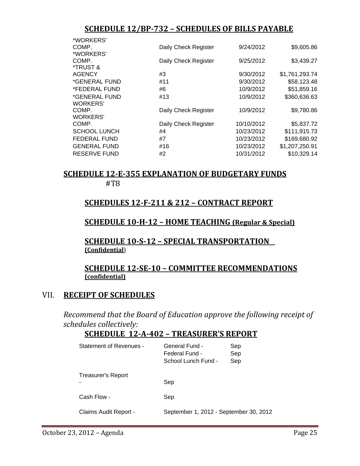#### **SCHEDULE 12/BP‐732 – SCHEDULES OF BILLS PAYABLE**

| *WORKERS'           |                      |            |                |
|---------------------|----------------------|------------|----------------|
| COMP.               | Daily Check Register | 9/24/2012  | \$9,605.86     |
| *WORKERS'           |                      |            |                |
| COMP.               | Daily Check Register | 9/25/2012  | \$3,439.27     |
| *TRUST &            |                      |            |                |
| AGENCY              | #3                   | 9/30/2012  | \$1,761,293.74 |
| *GENERAL FUND       | #11                  | 9/30/2012  | \$58,123.48    |
| *FEDERAL FUND       | #6                   | 10/9/2012  | \$51,859.16    |
| *GENERAL FUND       | #13                  | 10/9/2012  | \$360,636.63   |
| WORKERS'            |                      |            |                |
| COMP.               | Daily Check Register | 10/9/2012  | \$9,780.86     |
| WORKERS'            |                      |            |                |
| COMP.               | Daily Check Register | 10/10/2012 | \$5,837.72     |
| <b>SCHOOL LUNCH</b> | #4                   | 10/23/2012 | \$111,915.73   |
| <b>FEDERAL FUND</b> | #7                   | 10/23/2012 | \$169,680.92   |
| <b>GENERAL FUND</b> | #16                  | 10/23/2012 | \$1,207,250.91 |
| RESERVE FUND        | #2                   | 10/31/2012 | \$10,329.14    |
|                     |                      |            |                |

## **SCHEDULE 12‐E‐355 EXPLANATION OF BUDGETARY FUNDS**

 #T8 

#### **SCHEDULES 12‐F‐211 & 212 – CONTRACT REPORT**

#### **SCHEDULE 10‐H‐12 – HOME TEACHING (Regular & Special)**

## **SCHEDULE <sup>10</sup>‐S‐<sup>12</sup> – SPECIAL TRANSPORTATION (Confidential**)

# **SCHEDULE <sup>12</sup>‐SE‐<sup>10</sup> – COMMITTEE RECOMMENDATIONS (confidential)**

## VII. **RECEIPT OF SCHEDULES**

*Recommend that the Board of Education approve the following receipt of schedules collectively:*

#### **SCHEDULE 12‐A‐402 – TREASURER'S REPORT**

| Statement of Revenues - | General Fund -<br>Federal Fund -<br>School Lunch Fund - | Sep<br>Sep<br>Sep |
|-------------------------|---------------------------------------------------------|-------------------|
| Treasurer's Report      | Sep                                                     |                   |
| Cash Flow -             | Sep                                                     |                   |
| Claims Audit Report -   | September 1, 2012 - September 30, 2012                  |                   |